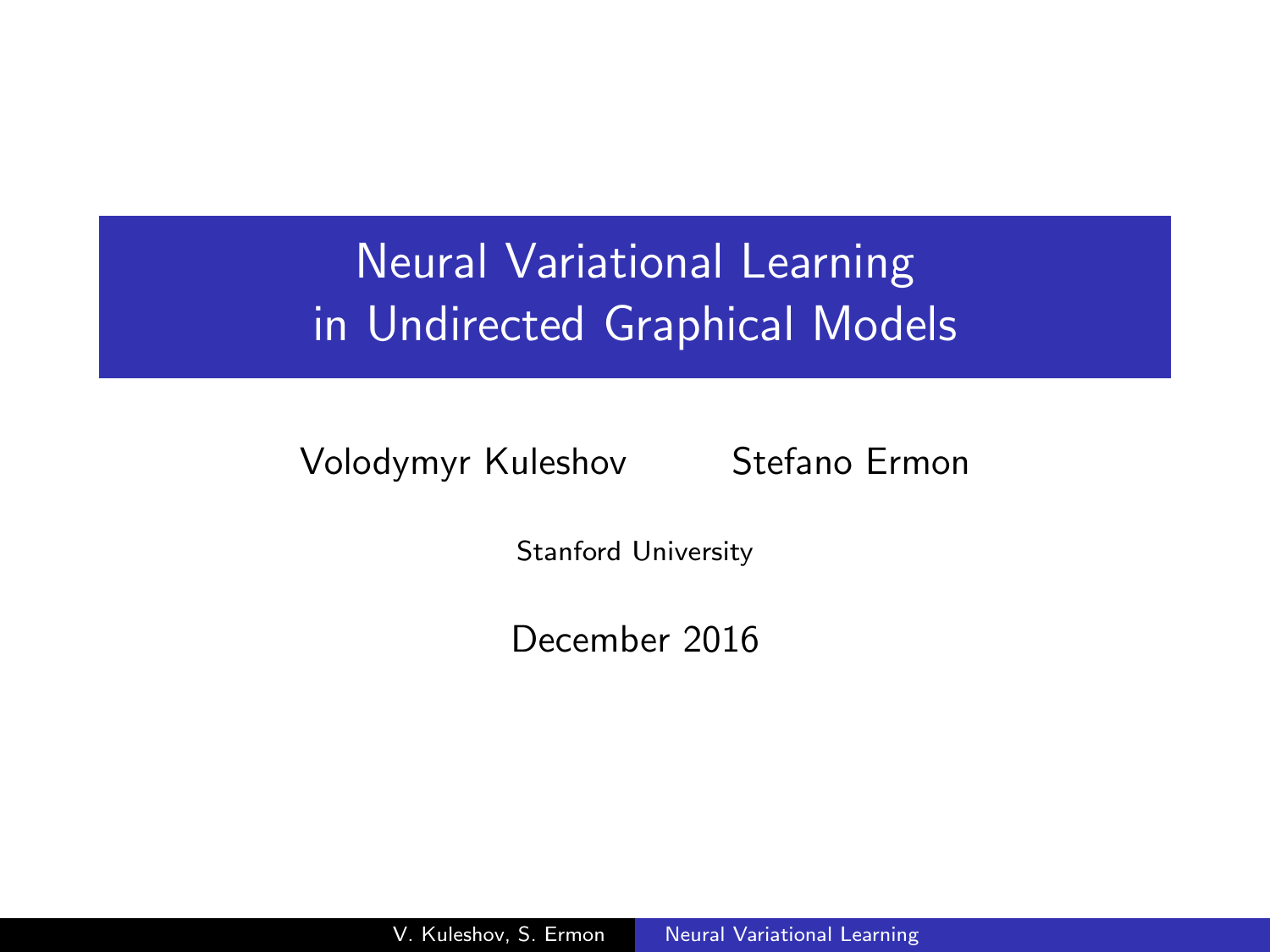# Neural Variational Learning in Undirected Graphical Models

Volodymyr Kuleshov Stefano Ermon

<span id="page-0-0"></span>

Stanford University

December 2016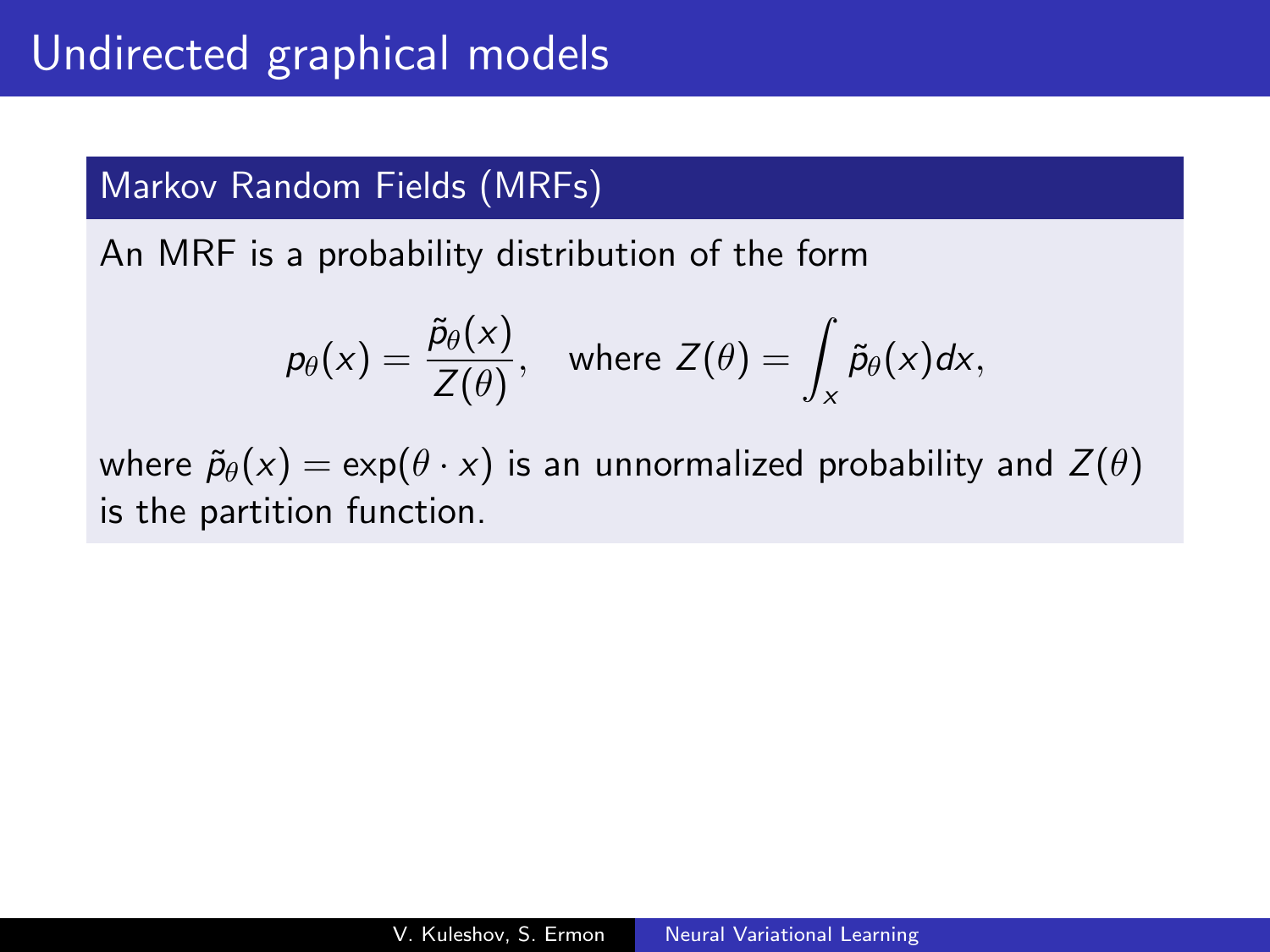#### Markov Random Fields (MRFs)

An MRF is a probability distribution of the form

$$
p_{\theta}(x) = \frac{\tilde{p}_{\theta}(x)}{Z(\theta)},
$$
 where  $Z(\theta) = \int_{x} \tilde{p}_{\theta}(x) dx,$ 

where  $\tilde{p}_{\theta}(x) = \exp(\theta \cdot x)$  is an unnormalized probability and  $Z(\theta)$ is the partition function.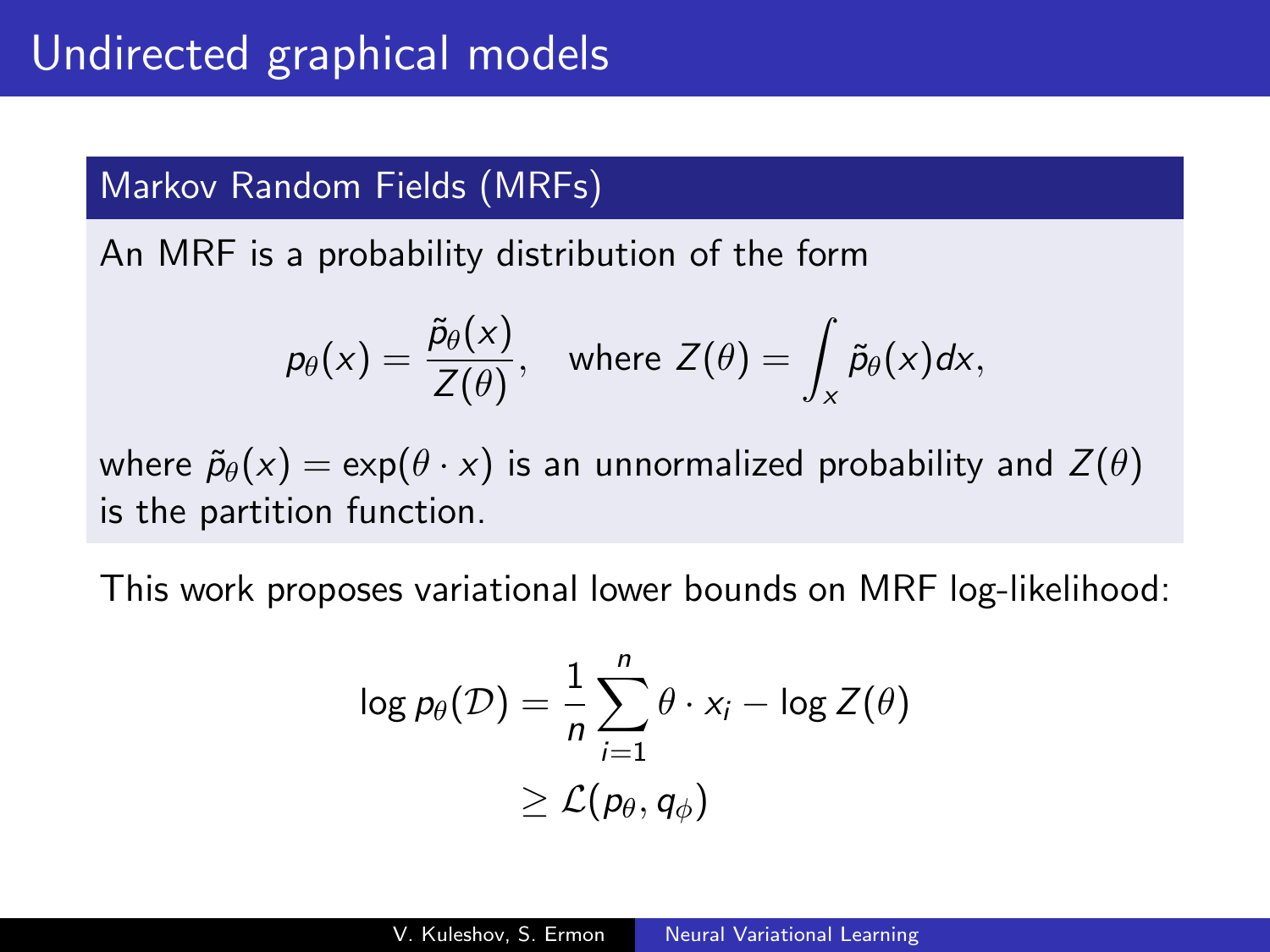#### Markov Random Fields (MRFs)

An MRF is a probability distribution of the form

$$
p_{\theta}(x) = \frac{\tilde{p}_{\theta}(x)}{Z(\theta)},
$$
 where  $Z(\theta) = \int_{x} \tilde{p}_{\theta}(x) dx,$ 

where  $\tilde{p}_{\theta}(x) = \exp(\theta \cdot x)$  is an unnormalized probability and  $Z(\theta)$ is the partition function.

This work proposes variational lower bounds on MRF log-likelihood:

$$
\log p_{\theta}(\mathcal{D}) = \frac{1}{n} \sum_{i=1}^{n} \theta \cdot x_{i} - \log Z(\theta)
$$
  

$$
\geq \mathcal{L}(p_{\theta}, q_{\phi})
$$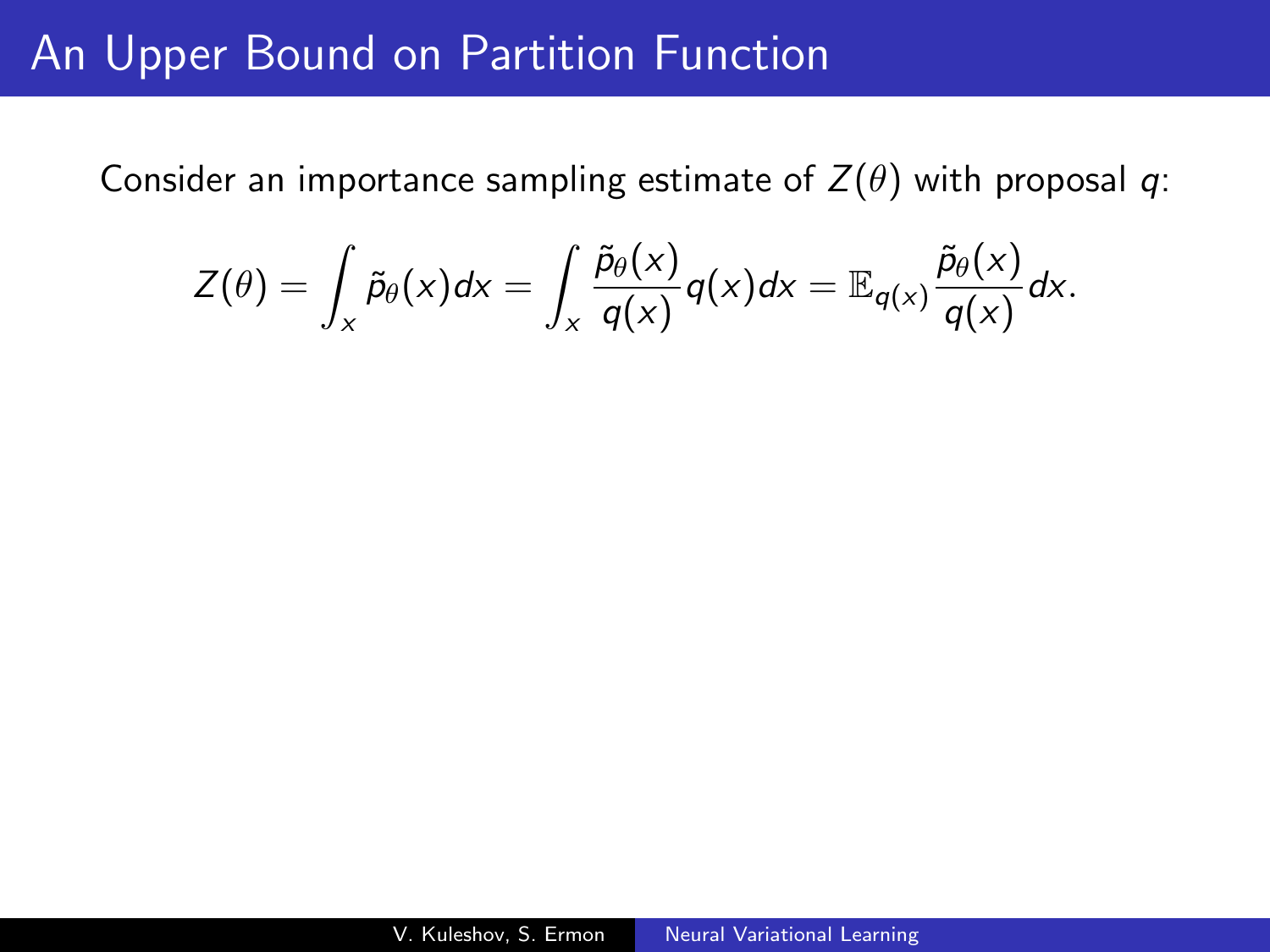## An Upper Bound on Partition Function

Consider an importance sampling estimate of  $Z(\theta)$  with proposal q:

$$
Z(\theta) = \int_{x} \tilde{p}_{\theta}(x) dx = \int_{x} \frac{\tilde{p}_{\theta}(x)}{q(x)} q(x) dx = \mathbb{E}_{q(x)} \frac{\tilde{p}_{\theta}(x)}{q(x)} dx.
$$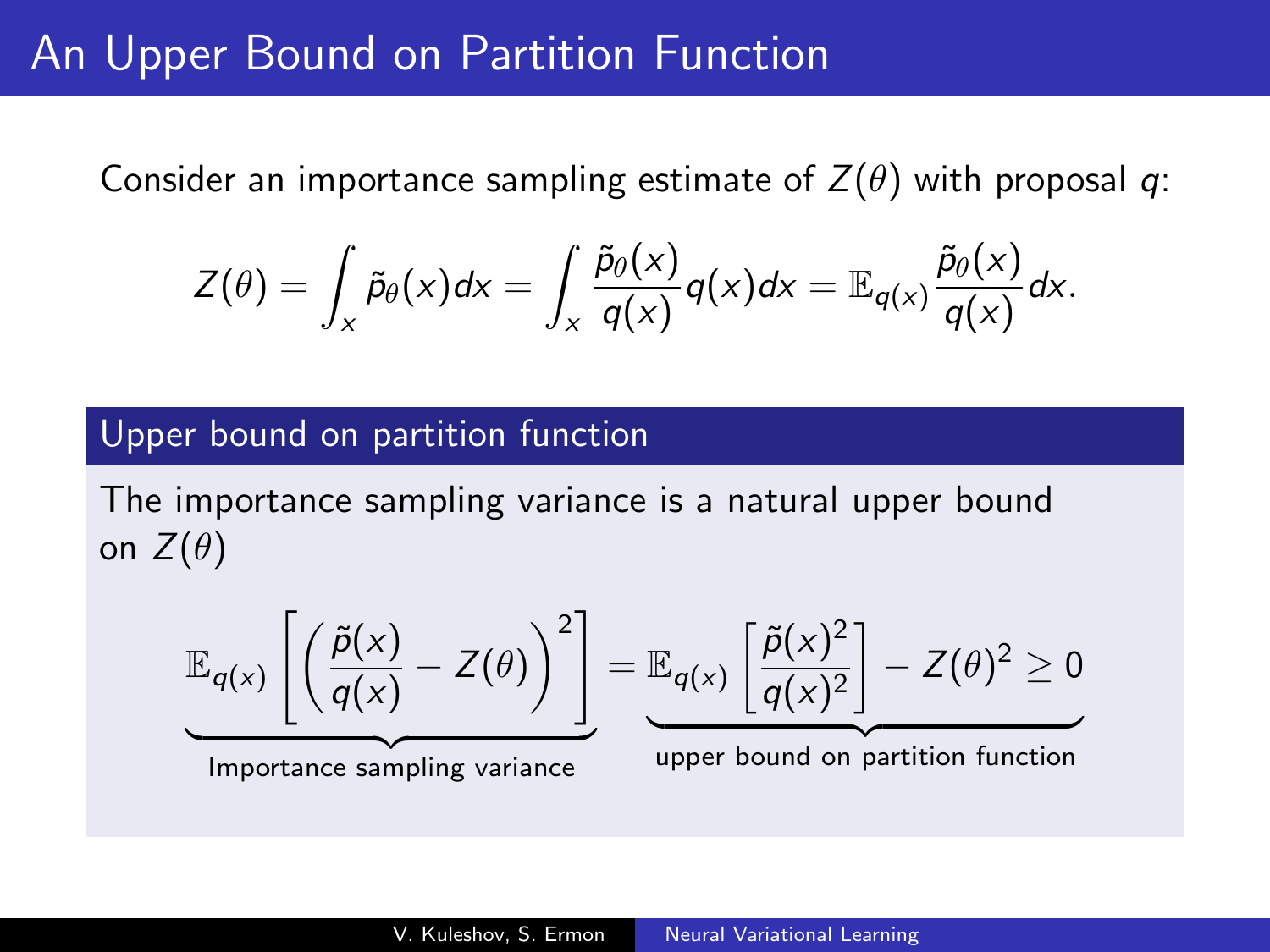## **An Upper Bound on Partition Function**

Consider an importance sampling estimate of  $Z(\theta)$  with proposal q:

$$
Z(\theta) = \int_{x} \tilde{p}_{\theta}(x) dx = \int_{x} \frac{\tilde{p}_{\theta}(x)}{q(x)} q(x) dx = \mathbb{E}_{q(x)} \frac{\tilde{p}_{\theta}(x)}{q(x)} dx.
$$

#### Upper bound on partition function

The importance sampling variance is a natural upper bound on  $Z(\theta)$ 

$$
\mathbb{E}_{q(x)}\left[\left(\frac{\tilde{p}(x)}{q(x)} - Z(\theta)\right)^2\right] = \mathbb{E}_{q(x)}\left[\frac{\tilde{p}(x)^2}{q(x)^2}\right] - Z(\theta)^2 \ge 0
$$
  
Importance sampling variance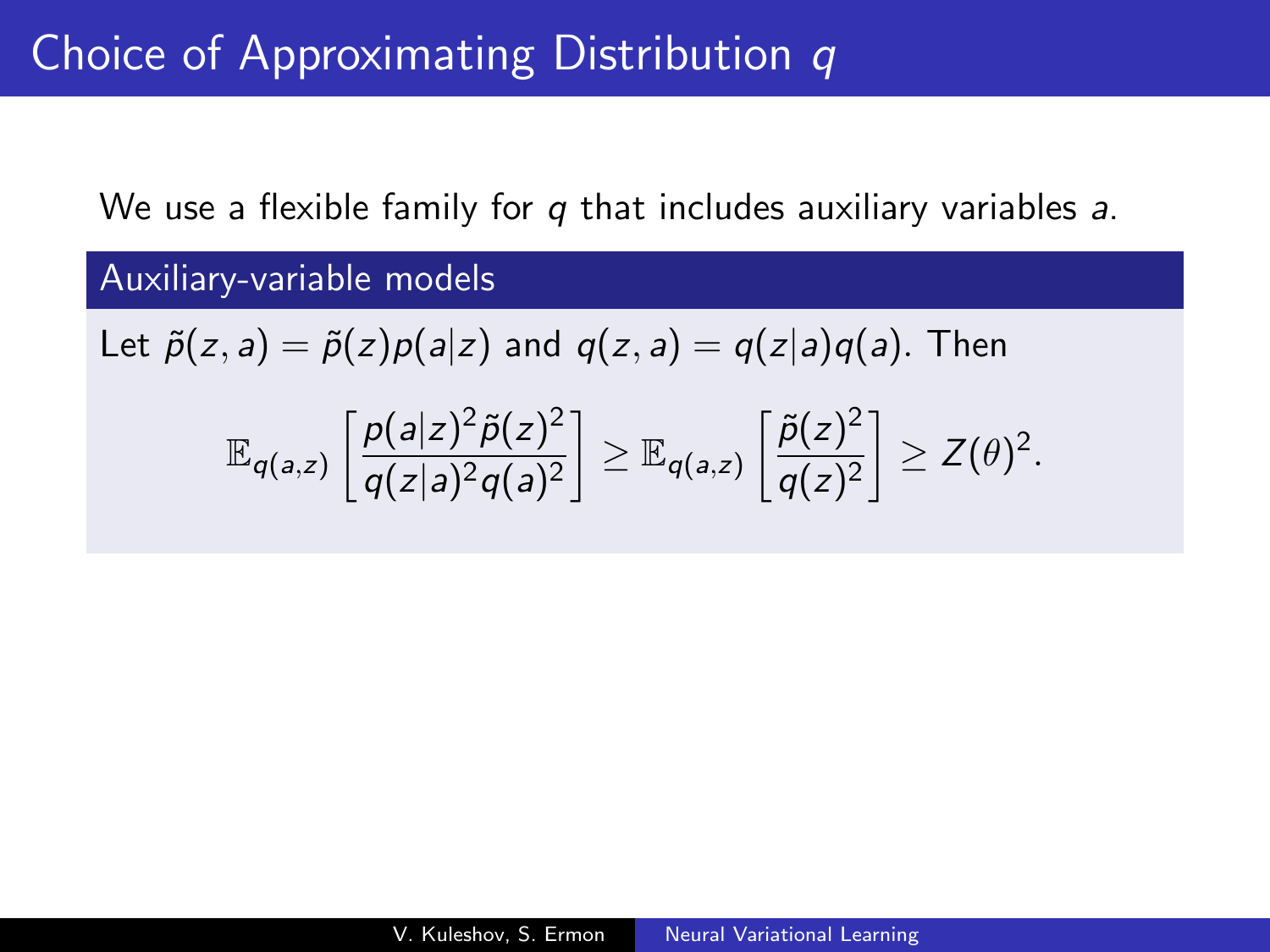# Choice of Approximating Distribution q

We use a flexible family for q that includes auxiliary variables a.

Auxiliary-variable models Let  $\tilde{p}(z, a) = \tilde{p}(z)p(a|z)$  and  $q(z, a) = q(z|a)q(a)$ . Then  $\mathbb{E}_{q(a,z)}\left[\frac{p(a|z)^2\tilde{p}(z)^2}{q(z)z^2q(z)^2}\right]$  $q(z|a)^2q(a)^2$  $\Big] \geq \mathbb{E}_{q(a,z)} \left[ \frac{\widetilde{\rho}(z)^2}{\sigma(z)^2} \right]$  $q(z)^2$  $\Big] \geq Z(\theta)^2$ .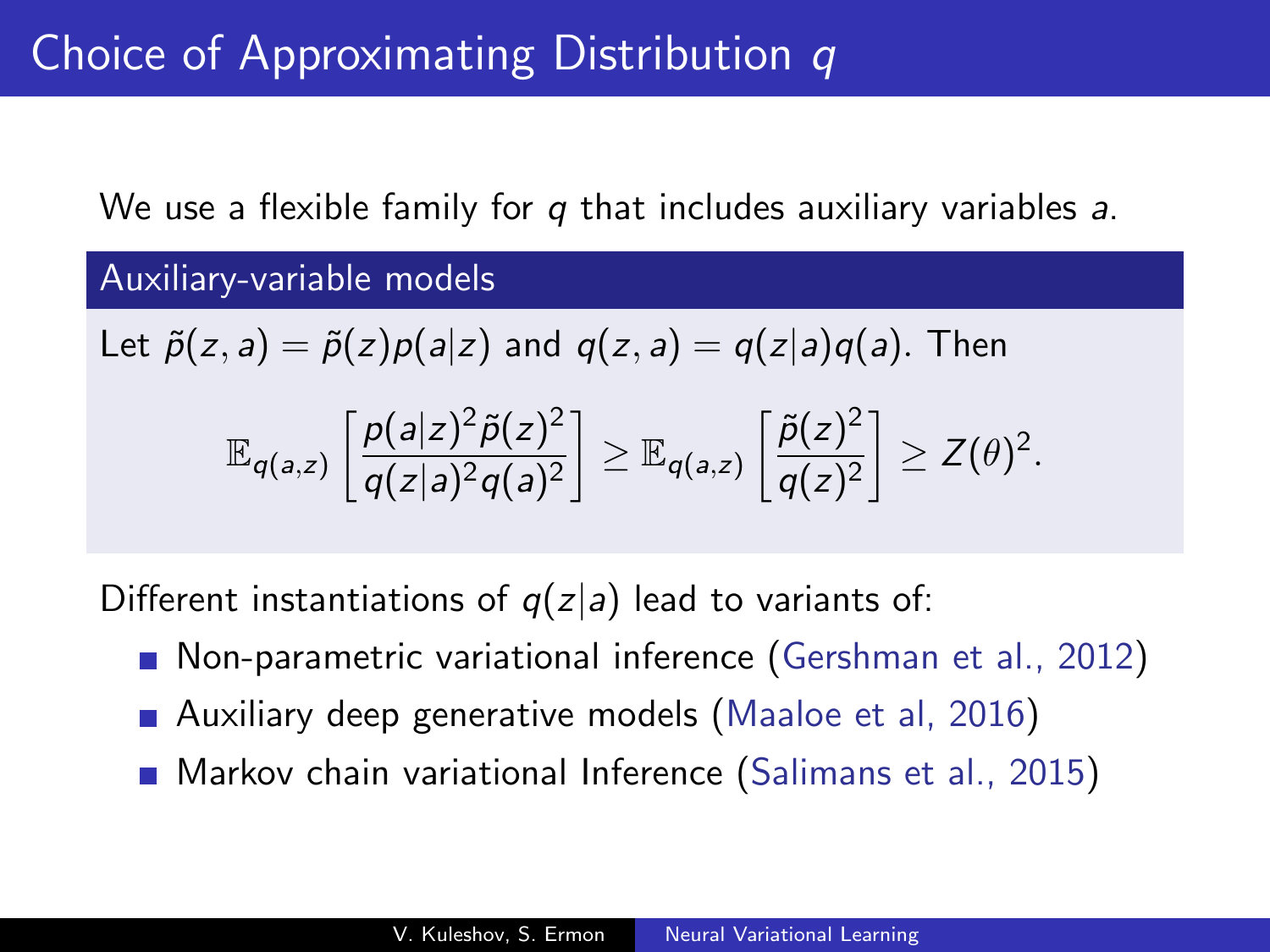We use a flexible family for q that includes auxiliary variables a.

Auxiliary-variable models

Let 
$$
\tilde{p}(z, a) = \tilde{p}(z)p(a|z)
$$
 and  $q(z, a) = q(z|a)q(a)$ . Then

$$
\mathbb{E}_{q(a,z)}\left[\frac{\rho(a|z)^2\tilde{\rho}(z)^2}{q(z|a)^2q(a)^2}\right]\geq \mathbb{E}_{q(a,z)}\left[\frac{\tilde{\rho}(z)^2}{q(z)^2}\right]\geq Z(\theta)^2.
$$

Different instantiations of  $q(z|a)$  lead to variants of:

- **Non-parametric variational inference (Gershman et al., 2012)**
- Auxiliary deep generative models (Maaloe et al, 2016)
- Markov chain variational Inference (Salimans et al., 2015)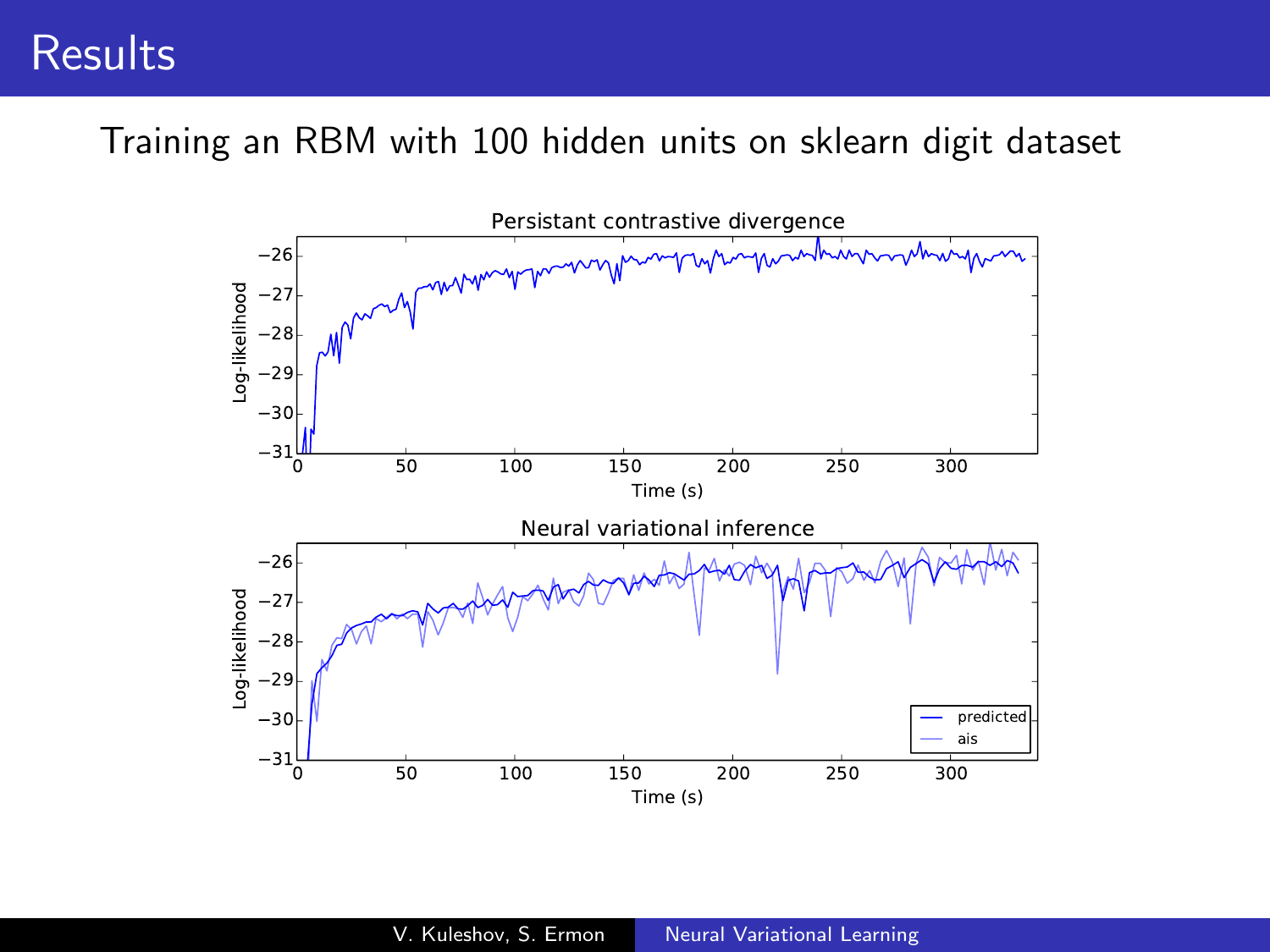### **Results**

Training an RBM with 100 hidden units on sklearn digit dataset